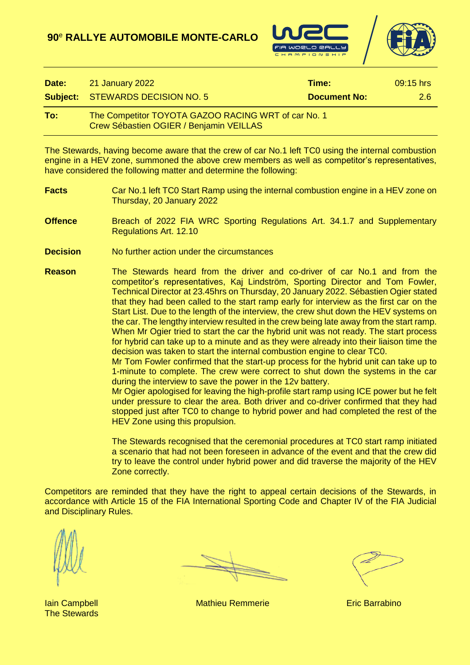



| Date: | 21 January 2022                                                                                | Time:               | $09:15$ hrs |
|-------|------------------------------------------------------------------------------------------------|---------------------|-------------|
|       | <b>Subject: STEWARDS DECISION NO. 5</b>                                                        | <b>Document No:</b> | 2.6         |
| To:   | The Competitor TOYOTA GAZOO RACING WRT of car No. 1<br>Crew Sébastien OGIER / Benjamin VEILLAS |                     |             |

The Stewards, having become aware that the crew of car No.1 left TC0 using the internal combustion engine in a HEV zone, summoned the above crew members as well as competitor's representatives, have considered the following matter and determine the following:

- **Facts** Car No.1 left TC0 Start Ramp using the internal combustion engine in a HEV zone on Thursday, 20 January 2022
- **Offence** Breach of 2022 FIA WRC Sporting Regulations Art. 34.1.7 and Supplementary Regulations Art. 12.10
- **Decision** No further action under the circumstances
- **Reason** The Stewards heard from the driver and co-driver of car No.1 and from the competitor's representatives, Kaj Lindström, Sporting Director and Tom Fowler, Technical Director at 23.45hrs on Thursday, 20 January 2022. Sébastien Ogier stated that they had been called to the start ramp early for interview as the first car on the Start List. Due to the length of the interview, the crew shut down the HEV systems on the car. The lengthy interview resulted in the crew being late away from the start ramp. When Mr Ogier tried to start the car the hybrid unit was not ready. The start process for hybrid can take up to a minute and as they were already into their liaison time the decision was taken to start the internal combustion engine to clear TC0.

Mr Tom Fowler confirmed that the start-up process for the hybrid unit can take up to 1-minute to complete. The crew were correct to shut down the systems in the car during the interview to save the power in the 12v battery.

Mr Ogier apologised for leaving the high-profile start ramp using ICE power but he felt under pressure to clear the area. Both driver and co-driver confirmed that they had stopped just after TC0 to change to hybrid power and had completed the rest of the HEV Zone using this propulsion.

The Stewards recognised that the ceremonial procedures at TC0 start ramp initiated a scenario that had not been foreseen in advance of the event and that the crew did try to leave the control under hybrid power and did traverse the majority of the HEV Zone correctly.

Competitors are reminded that they have the right to appeal certain decisions of the Stewards, in accordance with Article 15 of the FIA International Sporting Code and Chapter IV of the FIA Judicial and Disciplinary Rules.

The Stewards

**Iain Campbell Mathieu Remmerie Eric Barrabino**